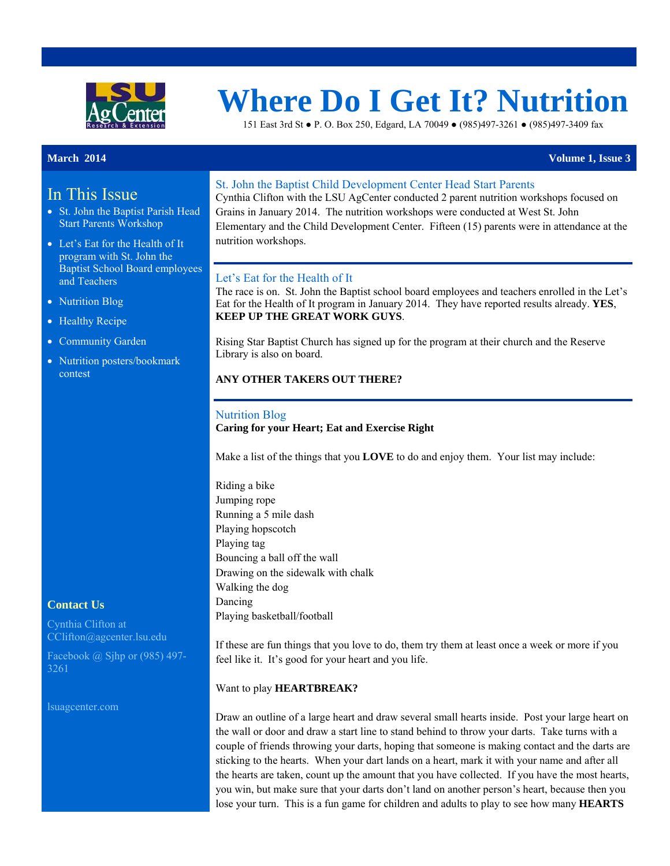

# **Where Do I Get It? Nutrition**

151 East 3rd St ● P. O. Box 250, Edgard, LA 70049 ● (985)497-3261 ● (985)497-3409 fax

# In This Issue

- St. John the Baptist Parish Head Start Parents Workshop
- Let's Eat for the Health of It program with St. John the Baptist School Board employees and Teachers
- Nutrition Blog
- Healthy Recipe
- Community Garden
- Nutrition posters/bookmark contest

### **Contact Us**

Cynthia Clifton at CClifton@agcenter.lsu.edu

Facebook @ Sjhp or (985) 497- 3261

lsuagcenter.com

#### St. John the Baptist Child Development Center Head Start Parents

Cynthia Clifton with the LSU AgCenter conducted 2 parent nutrition workshops focused on Grains in January 2014. The nutrition workshops were conducted at West St. John Elementary and the Child Development Center. Fifteen (15) parents were in attendance at the nutrition workshops.

#### Let's Eat for the Health of It

The race is on. St. John the Baptist school board employees and teachers enrolled in the Let's Eat for the Health of It program in January 2014. They have reported results already. **YES**, **KEEP UP THE GREAT WORK GUYS**.

Rising Star Baptist Church has signed up for the program at their church and the Reserve Library is also on board.

#### **ANY OTHER TAKERS OUT THERE?**

#### Nutrition Blog

#### **Caring for your Heart; Eat and Exercise Right**

Make a list of the things that you **LOVE** to do and enjoy them. Your list may include:

Riding a bike Jumping rope Running a 5 mile dash Playing hopscotch Playing tag Bouncing a ball off the wall Drawing on the sidewalk with chalk Walking the dog Dancing Playing basketball/football

If these are fun things that you love to do, them try them at least once a week or more if you feel like it. It's good for your heart and you life.

#### Want to play **HEARTBREAK?**

Draw an outline of a large heart and draw several small hearts inside. Post your large heart on the wall or door and draw a start line to stand behind to throw your darts. Take turns with a couple of friends throwing your darts, hoping that someone is making contact and the darts are sticking to the hearts. When your dart lands on a heart, mark it with your name and after all the hearts are taken, count up the amount that you have collected. If you have the most hearts, you win, but make sure that your darts don't land on another person's heart, because then you lose your turn. This is a fun game for children and adults to play to see how many **HEARTS**

**March 2014** Volume 1, Issue 3 **Volume 1, Issue 3**